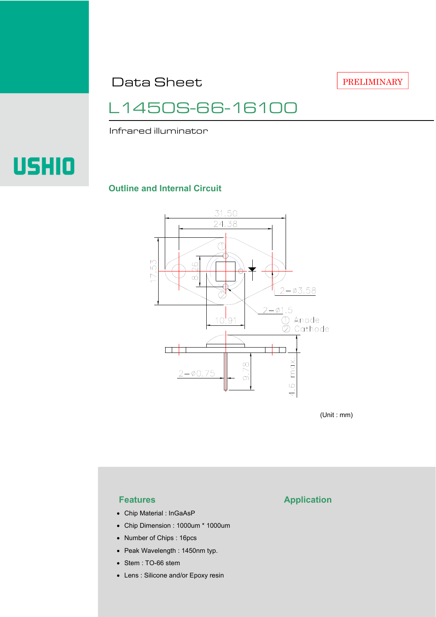Data Sheet

PRELIMINARY

## L1450S-66-16100

Infrared illuminator

# **USHIO**

#### **Outline and Internal Circuit**



(Unit : mm)

- Chip Material : InGaAsP
- Chip Dimension : 1000um \* 1000um
- Number of Chips : 16pcs
- Peak Wavelength : 1450nm typ.
- Stem : TO-66 stem
- Lens : Silicone and/or Epoxy resin

### **Features Application**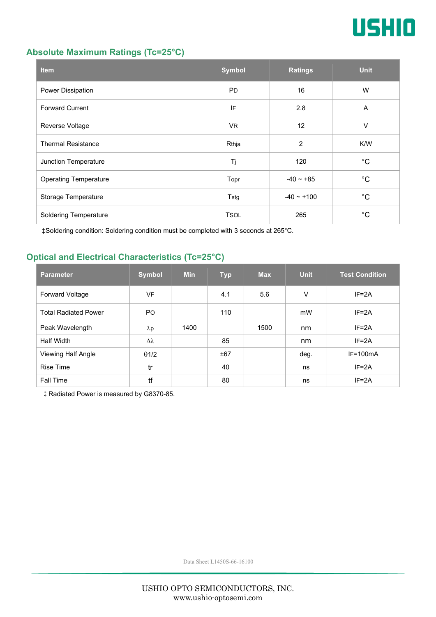

#### **Absolute Maximum Ratings (Tc=25°C)**

| <b>Item</b>                  | <b>Symbol</b> | <b>Ratings</b>  | <b>Unit</b> |
|------------------------------|---------------|-----------------|-------------|
| Power Dissipation            | <b>PD</b>     | 16              | W           |
| <b>Forward Current</b>       | IF            | 2.8             | A           |
| Reverse Voltage              | <b>VR</b>     | 12              | V           |
| <b>Thermal Resistance</b>    | Rthja         | $\overline{2}$  | K/W         |
| Junction Temperature         | Tj            | 120             | $^{\circ}C$ |
| <b>Operating Temperature</b> | Topr          | $-40 \sim +85$  | $^{\circ}C$ |
| Storage Temperature          | Tstg          | $-40 \sim +100$ | $^{\circ}C$ |
| <b>Soldering Temperature</b> | <b>TSOL</b>   | 265             | $^{\circ}C$ |

‡Soldering condition: Soldering condition must be completed with 3 seconds at 265°C.

### **Optical and Electrical Characteristics (Tc=25°C)**

| <b>Parameter</b>            | <b>Symbol</b>  | <b>Min</b> | <b>Typ</b> | <b>Max</b> | <b>Unit</b> | <b>Test Condition</b> |
|-----------------------------|----------------|------------|------------|------------|-------------|-----------------------|
| <b>Forward Voltage</b>      | VF             |            | 4.1        | 5.6        | V           | $IF = 2A$             |
| <b>Total Radiated Power</b> | P <sub>O</sub> |            | 110        |            | mW          | $IF = 2A$             |
| Peak Wavelength             | $\lambda$ p    | 1400       |            | 1500       | nm          | $IF = 2A$             |
| Half Width                  | Δλ             |            | 85         |            | nm          | $IF = 2A$             |
| Viewing Half Angle          | $\theta$ 1/2   |            | ±67        |            | deg.        | $IF=100mA$            |
| <b>Rise Time</b>            | tr             |            | 40         |            | ns          | $IF = 2A$             |
| <b>Fall Time</b>            | tf             |            | 80         |            | ns          | $IF = 2A$             |

‡Radiated Power is measured by G8370-85.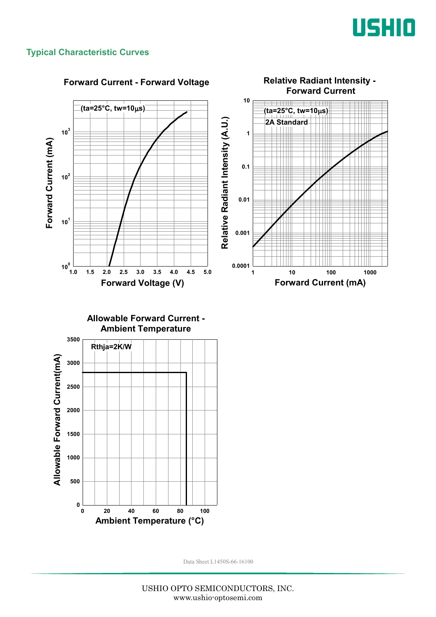

#### **Typical Characteristic Curves**

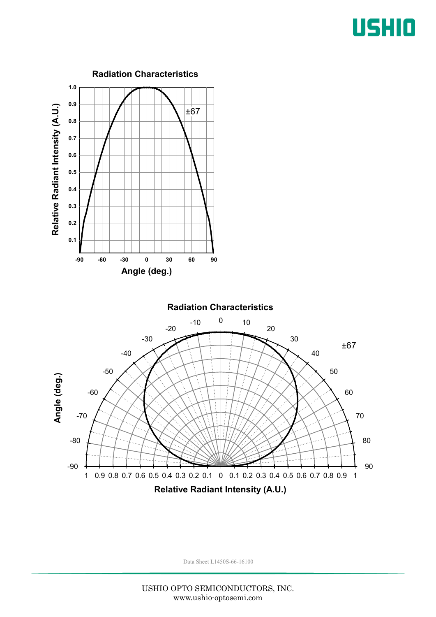## USHIO

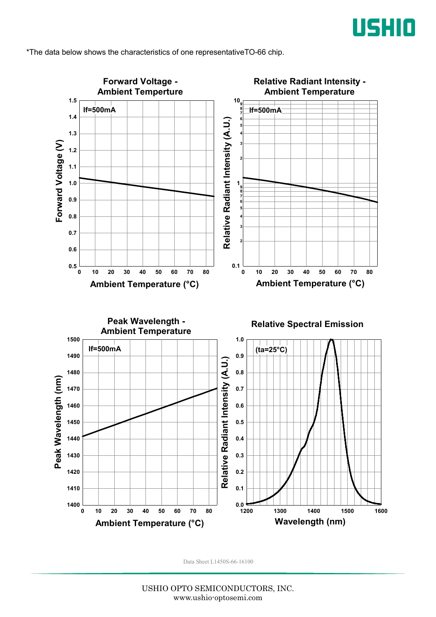

\*The data below shows the characteristics of one representativeTO-66 chip.